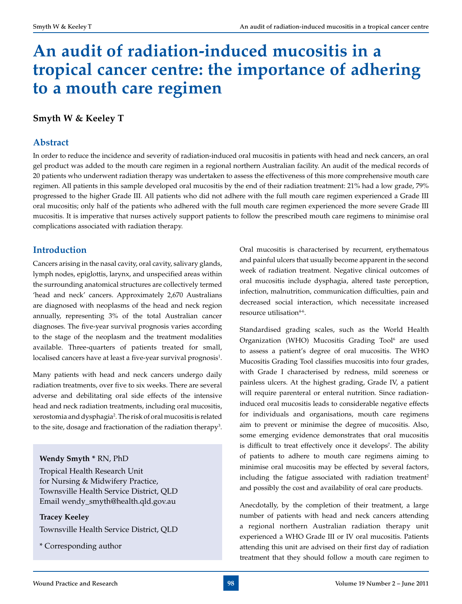# **An audit of radiation-induced mucositis in a tropical cancer centre: the importance of adhering to a mouth care regimen**

# **Smyth W & Keeley T**

# **Abstract**

In order to reduce the incidence and severity of radiation-induced oral mucositis in patients with head and neck cancers, an oral gel product was added to the mouth care regimen in a regional northern Australian facility. An audit of the medical records of 20 patients who underwent radiation therapy was undertaken to assess the effectiveness of this more comprehensive mouth care regimen. All patients in this sample developed oral mucositis by the end of their radiation treatment: 21% had a low grade, 79% progressed to the higher Grade III. All patients who did not adhere with the full mouth care regimen experienced a Grade III oral mucositis; only half of the patients who adhered with the full mouth care regimen experienced the more severe Grade III mucositis. It is imperative that nurses actively support patients to follow the prescribed mouth care regimens to minimise oral complications associated with radiation therapy.

# **Introduction**

Cancers arising in the nasal cavity, oral cavity, salivary glands, lymph nodes, epiglottis, larynx, and unspecified areas within the surrounding anatomical structures are collectively termed 'head and neck' cancers. Approximately 2,670 Australians are diagnosed with neoplasms of the head and neck region annually, representing 3% of the total Australian cancer diagnoses. The five-year survival prognosis varies according to the stage of the neoplasm and the treatment modalities available. Three-quarters of patients treated for small, localised cancers have at least a five-year survival prognosis<sup>1</sup>.

Many patients with head and neck cancers undergo daily radiation treatments, over five to six weeks. There are several adverse and debilitating oral side effects of the intensive head and neck radiation treatments, including oral mucositis, xerostomia and dysphagia2 . The risk of oral mucositis is related to the site, dosage and fractionation of the radiation therapy<sup>3</sup>.

## **Wendy Smyth \*** RN, PhD

Tropical Health Research Unit for Nursing & Midwifery Practice, Townsville Health Service District, QLD Email wendy\_smyth@health.qld.gov.au

**Tracey Keeley** Townsville Health Service District, QLD

\* Corresponding author

Oral mucositis is characterised by recurrent, erythematous and painful ulcers that usually become apparent in the second week of radiation treatment. Negative clinical outcomes of oral mucositis include dysphagia, altered taste perception, infection, malnutrition, communication difficulties, pain and decreased social interaction, which necessitate increased resource utilisation<sup>4-6</sup>.

Standardised grading scales, such as the World Health Organization (WHO) Mucositis Grading Tool<sup>6</sup> are used to assess a patient's degree of oral mucositis. The WHO Mucositis Grading Tool classifies mucositis into four grades, with Grade I characterised by redness, mild soreness or painless ulcers. At the highest grading, Grade IV, a patient will require parenteral or enteral nutrition. Since radiationinduced oral mucositis leads to considerable negative effects for individuals and organisations, mouth care regimens aim to prevent or minimise the degree of mucositis. Also, some emerging evidence demonstrates that oral mucositis is difficult to treat effectively once it develops<sup>7</sup>. The ability of patients to adhere to mouth care regimens aiming to minimise oral mucositis may be effected by several factors, including the fatigue associated with radiation treatment<sup>2</sup> and possibly the cost and availability of oral care products.

Anecdotally, by the completion of their treatment, a large number of patients with head and neck cancers attending a regional northern Australian radiation therapy unit experienced a WHO Grade III or IV oral mucositis. Patients attending this unit are advised on their first day of radiation treatment that they should follow a mouth care regimen to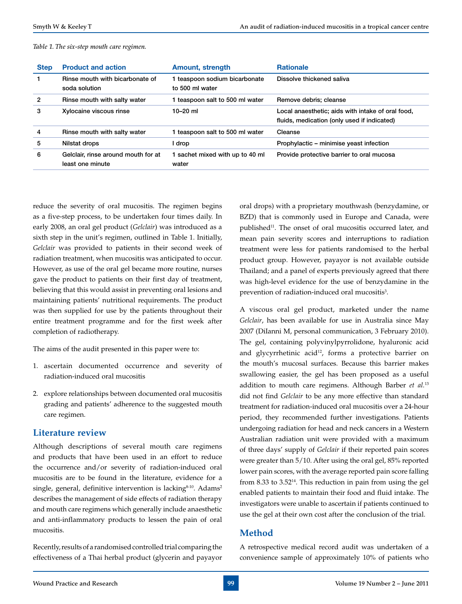|  |  |  |  |  | Table 1. The six-step mouth care regimen. |
|--|--|--|--|--|-------------------------------------------|
|--|--|--|--|--|-------------------------------------------|

| <b>Step</b> | <b>Product and action</b>                               | <b>Amount, strength</b>                        | <b>Rationale</b>                                                                                 |
|-------------|---------------------------------------------------------|------------------------------------------------|--------------------------------------------------------------------------------------------------|
|             | Rinse mouth with bicarbonate of<br>soda solution        | teaspoon sodium bicarbonate<br>to 500 ml water | Dissolve thickened saliva                                                                        |
| 2           | Rinse mouth with salty water                            | teaspoon salt to 500 ml water                  | Remove debris; cleanse                                                                           |
| 3           | Xylocaine viscous rinse                                 | $10 - 20$ ml                                   | Local anaesthetic; aids with intake of oral food,<br>fluids, medication (only used if indicated) |
| 4           | Rinse mouth with salty water                            | teaspoon salt to 500 ml water                  | Cleanse                                                                                          |
| 5           | Nilstat drops                                           | l drop                                         | Prophylactic – minimise yeast infection                                                          |
| 6           | Gelclair, rinse around mouth for at<br>least one minute | sachet mixed with up to 40 ml<br>water         | Provide protective barrier to oral mucosa                                                        |

reduce the severity of oral mucositis. The regimen begins as a five-step process, to be undertaken four times daily. In early 2008, an oral gel product (*Gelclair*) was introduced as a sixth step in the unit's regimen, outlined in Table 1. Initially, *Gelclair* was provided to patients in their second week of radiation treatment, when mucositis was anticipated to occur. However, as use of the oral gel became more routine, nurses gave the product to patients on their first day of treatment, believing that this would assist in preventing oral lesions and maintaining patients' nutritional requirements. The product was then supplied for use by the patients throughout their entire treatment programme and for the first week after completion of radiotherapy.

The aims of the audit presented in this paper were to:

- 1. ascertain documented occurrence and severity of radiation-induced oral mucositis
- 2. explore relationships between documented oral mucositis grading and patients' adherence to the suggested mouth care regimen.

## **Literature review**

Although descriptions of several mouth care regimens and products that have been used in an effort to reduce the occurrence and/or severity of radiation-induced oral mucositis are to be found in the literature, evidence for a single, general, definitive intervention is lacking<sup>8-10</sup>. Adams<sup>2</sup> describes the management of side effects of radiation therapy and mouth care regimens which generally include anaesthetic and anti-inflammatory products to lessen the pain of oral mucositis.

Recently, results of a randomised controlled trial comparing the effectiveness of a Thai herbal product (glycerin and payayor oral drops) with a proprietary mouthwash (benzydamine, or BZD) that is commonly used in Europe and Canada, were published<sup>11</sup>. The onset of oral mucositis occurred later, and mean pain severity scores and interruptions to radiation treatment were less for patients randomised to the herbal product group. However, payayor is not available outside Thailand; and a panel of experts previously agreed that there was high-level evidence for the use of benzydamine in the prevention of radiation-induced oral mucositis<sup>3</sup>.

A viscous oral gel product, marketed under the name *Gelclair*, has been available for use in Australia since May 2007 (DiIanni M, personal communication, 3 February 2010). The gel, containing polyvinylpyrrolidone, hyaluronic acid and glycyrrhetinic acid<sup>12</sup>, forms a protective barrier on the mouth's mucosal surfaces. Because this barrier makes swallowing easier, the gel has been proposed as a useful addition to mouth care regimens. Although Barber *et al.*<sup>13</sup> did not find *Gelclair* to be any more effective than standard treatment for radiation-induced oral mucositis over a 24-hour period, they recommended further investigations. Patients undergoing radiation for head and neck cancers in a Western Australian radiation unit were provided with a maximum of three days' supply of *Gelclair* if their reported pain scores were greater than 5/10. After using the oral gel, 85% reported lower pain scores, with the average reported pain score falling from 8.33 to 3.5214. This reduction in pain from using the gel enabled patients to maintain their food and fluid intake. The investigators were unable to ascertain if patients continued to use the gel at their own cost after the conclusion of the trial.

## **Method**

A retrospective medical record audit was undertaken of a convenience sample of approximately 10% of patients who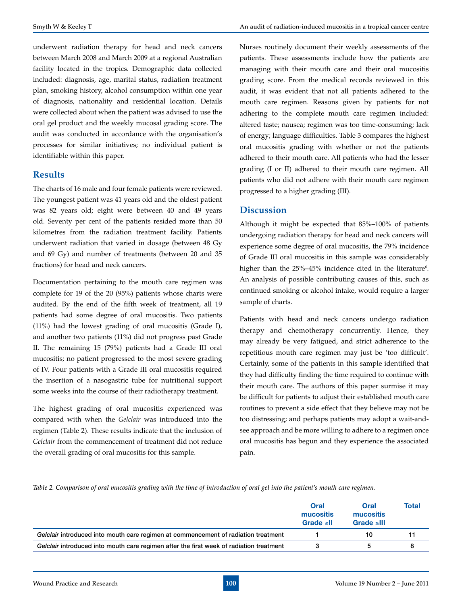underwent radiation therapy for head and neck cancers between March 2008 and March 2009 at a regional Australian facility located in the tropics. Demographic data collected included: diagnosis, age, marital status, radiation treatment plan, smoking history, alcohol consumption within one year of diagnosis, nationality and residential location. Details were collected about when the patient was advised to use the oral gel product and the weekly mucosal grading score. The audit was conducted in accordance with the organisation's processes for similar initiatives; no individual patient is identifiable within this paper.

#### **Results**

The charts of 16 male and four female patients were reviewed. The youngest patient was 41 years old and the oldest patient was 82 years old; eight were between 40 and 49 years old. Seventy per cent of the patients resided more than 50 kilometres from the radiation treatment facility. Patients underwent radiation that varied in dosage (between 48 Gy and 69 Gy) and number of treatments (between 20 and 35 fractions) for head and neck cancers.

Documentation pertaining to the mouth care regimen was complete for 19 of the 20 (95%) patients whose charts were audited. By the end of the fifth week of treatment, all 19 patients had some degree of oral mucositis. Two patients (11%) had the lowest grading of oral mucositis (Grade I), and another two patients (11%) did not progress past Grade II. The remaining 15 (79%) patients had a Grade III oral mucositis; no patient progressed to the most severe grading of IV. Four patients with a Grade III oral mucositis required the insertion of a nasogastric tube for nutritional support some weeks into the course of their radiotherapy treatment.

The highest grading of oral mucositis experienced was compared with when the *Gelclair* was introduced into the regimen (Table 2). These results indicate that the inclusion of *Gelclair* from the commencement of treatment did not reduce the overall grading of oral mucositis for this sample.

Nurses routinely document their weekly assessments of the patients. These assessments include how the patients are managing with their mouth care and their oral mucositis grading score. From the medical records reviewed in this audit, it was evident that not all patients adhered to the mouth care regimen. Reasons given by patients for not adhering to the complete mouth care regimen included: altered taste; nausea; regimen was too time-consuming; lack of energy; language difficulties. Table 3 compares the highest oral mucositis grading with whether or not the patients adhered to their mouth care. All patients who had the lesser grading (I or II) adhered to their mouth care regimen. All patients who did not adhere with their mouth care regimen progressed to a higher grading (III).

#### **Discussion**

Although it might be expected that 85%–100% of patients undergoing radiation therapy for head and neck cancers will experience some degree of oral mucositis, the 79% incidence of Grade III oral mucositis in this sample was considerably higher than the 25%–45% incidence cited in the literature $\rm ^6$ . An analysis of possible contributing causes of this, such as continued smoking or alcohol intake, would require a larger sample of charts.

Patients with head and neck cancers undergo radiation therapy and chemotherapy concurrently. Hence, they may already be very fatigued, and strict adherence to the repetitious mouth care regimen may just be 'too difficult'. Certainly, some of the patients in this sample identified that they had difficulty finding the time required to continue with their mouth care. The authors of this paper surmise it may be difficult for patients to adjust their established mouth care routines to prevent a side effect that they believe may not be too distressing; and perhaps patients may adopt a wait-andsee approach and be more willing to adhere to a regimen once oral mucositis has begun and they experience the associated pain.

*Table 2. Comparison of oral mucositis grading with the time of introduction of oral gel into the patient's mouth care regimen.*

|                                                                                         | Oral<br>mucositis<br>Grade $\leq$ II | Oral<br>mucositis<br>Grade $\geq$ III | Total |
|-----------------------------------------------------------------------------------------|--------------------------------------|---------------------------------------|-------|
| Gelclair introduced into mouth care regimen at commencement of radiation treatment      |                                      | 10                                    |       |
| Gelclair introduced into mouth care regimen after the first week of radiation treatment |                                      |                                       |       |